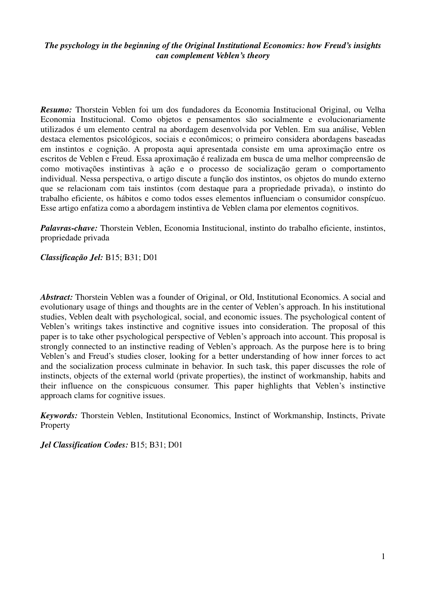# *The psychology in the beginning of the Original Institutional Economics: how Freud's insights can complement Veblen's theory*

*Resumo:* Thorstein Veblen foi um dos fundadores da Economia Institucional Original, ou Velha Economia Institucional. Como objetos e pensamentos são socialmente e evolucionariamente utilizados é um elemento central na abordagem desenvolvida por Veblen. Em sua análise, Veblen destaca elementos psicológicos, sociais e econômicos; o primeiro considera abordagens baseadas em instintos e cognição. A proposta aqui apresentada consiste em uma aproximação entre os escritos de Veblen e Freud. Essa aproximação é realizada em busca de uma melhor compreensão de como motivações instintivas à ação e o processo de socialização geram o comportamento individual. Nessa perspectiva, o artigo discute a função dos instintos, os objetos do mundo externo que se relacionam com tais instintos (com destaque para a propriedade privada), o instinto do trabalho eficiente, os hábitos e como todos esses elementos influenciam o consumidor conspícuo. Esse artigo enfatiza como a abordagem instintiva de Veblen clama por elementos cognitivos.

*Palavras-chave:* Thorstein Veblen, Economia Institucional, instinto do trabalho eficiente, instintos, propriedade privada

*Classificação Jel:* B15; B31; D01

*Abstract:* Thorstein Veblen was a founder of Original, or Old, Institutional Economics. A social and evolutionary usage of things and thoughts are in the center of Veblen's approach. In his institutional studies, Veblen dealt with psychological, social, and economic issues. The psychological content of Veblen's writings takes instinctive and cognitive issues into consideration. The proposal of this paper is to take other psychological perspective of Veblen's approach into account. This proposal is strongly connected to an instinctive reading of Veblen's approach. As the purpose here is to bring Veblen's and Freud's studies closer, looking for a better understanding of how inner forces to act and the socialization process culminate in behavior. In such task, this paper discusses the role of instincts, objects of the external world (private properties), the instinct of workmanship, habits and their influence on the conspicuous consumer. This paper highlights that Veblen's instinctive approach clams for cognitive issues.

*Keywords:* Thorstein Veblen, Institutional Economics, Instinct of Workmanship, Instincts, Private Property

*Jel Classification Codes:* B15; B31; D01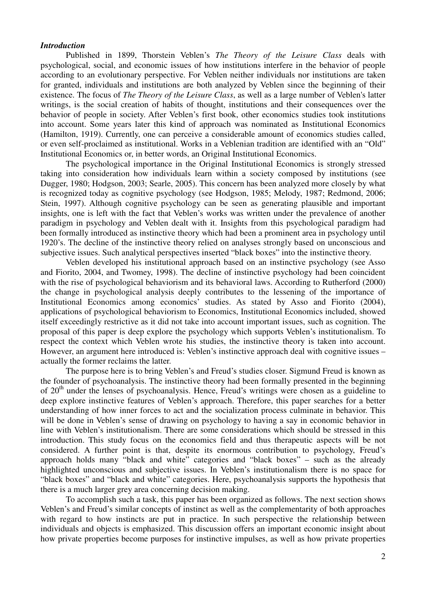### *Introduction*

Published in 1899, Thorstein Veblen's *The Theory of the Leisure Class* deals with psychological, social, and economic issues of how institutions interfere in the behavior of people according to an evolutionary perspective. For Veblen neither individuals nor institutions are taken for granted, individuals and institutions are both analyzed by Veblen since the beginning of their existence. The focus of *The Theory of the Leisure Class*, as well as a large number of Veblen's latter writings, is the social creation of habits of thought, institutions and their consequences over the behavior of people in society. After Veblen's first book, other economics studies took institutions into account. Some years later this kind of approach was nominated as Institutional Economics (Hamilton, 1919). Currently, one can perceive a considerable amount of economics studies called, or even self-proclaimed as institutional. Works in a Veblenian tradition are identified with an "Old" Institutional Economics or, in better words, an Original Institutional Economics.

 The psychological importance in the Original Institutional Economics is strongly stressed taking into consideration how individuals learn within a society composed by institutions (see Dugger, 1980; Hodgson, 2003; Searle, 2005). This concern has been analyzed more closely by what is recognized today as cognitive psychology (see Hodgson, 1985; Melody, 1987; Redmond, 2006; Stein, 1997). Although cognitive psychology can be seen as generating plausible and important insights, one is left with the fact that Veblen's works was written under the prevalence of another paradigm in psychology and Veblen dealt with it. Insights from this psychological paradigm had been formally introduced as instinctive theory which had been a prominent area in psychology until 1920's. The decline of the instinctive theory relied on analyses strongly based on unconscious and subjective issues. Such analytical perspectives inserted "black boxes" into the instinctive theory.

 Veblen developed his institutional approach based on an instinctive psychology (see Asso and Fiorito, 2004, and Twomey, 1998). The decline of instinctive psychology had been coincident with the rise of psychological behaviorism and its behavioral laws. According to Rutherford (2000) the change in psychological analysis deeply contributes to the lessening of the importance of Institutional Economics among economics' studies. As stated by Asso and Fiorito (2004), applications of psychological behaviorism to Economics, Institutional Economics included, showed itself exceedingly restrictive as it did not take into account important issues, such as cognition. The proposal of this paper is deep explore the psychology which supports Veblen's institutionalism. To respect the context which Veblen wrote his studies, the instinctive theory is taken into account. However, an argument here introduced is: Veblen's instinctive approach deal with cognitive issues – actually the former reclaims the latter.

The purpose here is to bring Veblen's and Freud's studies closer. Sigmund Freud is known as the founder of psychoanalysis. The instinctive theory had been formally presented in the beginning of  $20<sup>th</sup>$  under the lenses of psychoanalysis. Hence, Freud's writings were chosen as a guideline to deep explore instinctive features of Veblen's approach. Therefore, this paper searches for a better understanding of how inner forces to act and the socialization process culminate in behavior. This will be done in Veblen's sense of drawing on psychology to having a say in economic behavior in line with Veblen's institutionalism. There are some considerations which should be stressed in this introduction. This study focus on the economics field and thus therapeutic aspects will be not considered. A further point is that, despite its enormous contribution to psychology, Freud's approach holds many "black and white" categories and "black boxes" – such as the already highlighted unconscious and subjective issues. In Veblen's institutionalism there is no space for "black boxes" and "black and white" categories. Here, psychoanalysis supports the hypothesis that there is a much larger grey area concerning decision making.

To accomplish such a task, this paper has been organized as follows. The next section shows Veblen's and Freud's similar concepts of instinct as well as the complementarity of both approaches with regard to how instincts are put in practice. In such perspective the relationship between individuals and objects is emphasized. This discussion offers an important economic insight about how private properties become purposes for instinctive impulses, as well as how private properties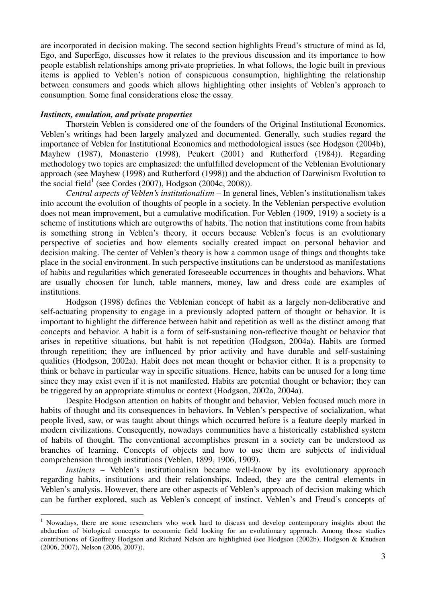are incorporated in decision making. The second section highlights Freud's structure of mind as Id, Ego, and SuperEgo, discusses how it relates to the previous discussion and its importance to how people establish relationships among private proprieties. In what follows, the logic built in previous items is applied to Veblen's notion of conspicuous consumption, highlighting the relationship between consumers and goods which allows highlighting other insights of Veblen's approach to consumption. Some final considerations close the essay.

# *Instincts, emulation, and private properties*

Thorstein Veblen is considered one of the founders of the Original Institutional Economics. Veblen's writings had been largely analyzed and documented. Generally, such studies regard the importance of Veblen for Institutional Economics and methodological issues (see Hodgson (2004b), Mayhew (1987), Monasterio (1998), Peukert (2001) and Rutherford (1984)). Regarding methodology two topics are emphasized: the unfulfilled development of the Veblenian Evolutionary approach (see Mayhew (1998) and Rutherford (1998)) and the abduction of Darwinism Evolution to the social field<sup>1</sup> (see Cordes (2007), Hodgson (2004c, 2008)).

*Central aspects of Veblen's institutionalism* – In general lines, Veblen's institutionalism takes into account the evolution of thoughts of people in a society. In the Veblenian perspective evolution does not mean improvement, but a cumulative modification. For Veblen (1909, 1919) a society is a scheme of institutions which are outgrowths of habits. The notion that institutions come from habits is something strong in Veblen's theory, it occurs because Veblen's focus is an evolutionary perspective of societies and how elements socially created impact on personal behavior and decision making. The center of Veblen's theory is how a common usage of things and thoughts take place in the social environment. In such perspective institutions can be understood as manifestations of habits and regularities which generated foreseeable occurrences in thoughts and behaviors. What are usually choosen for lunch, table manners, money, law and dress code are examples of institutions.

Hodgson (1998) defines the Veblenian concept of habit as a largely non-deliberative and self-actuating propensity to engage in a previously adopted pattern of thought or behavior. It is important to highlight the difference between habit and repetition as well as the distinct among that concepts and behavior. A habit is a form of self-sustaining non-reflective thought or behavior that arises in repetitive situations, but habit is not repetition (Hodgson, 2004a). Habits are formed through repetition; they are influenced by prior activity and have durable and self-sustaining qualities (Hodgson, 2002a). Habit does not mean thought or behavior either. It is a propensity to think or behave in particular way in specific situations. Hence, habits can be unused for a long time since they may exist even if it is not manifested. Habits are potential thought or behavior; they can be triggered by an appropriate stimulus or context (Hodgson, 2002a, 2004a).

Despite Hodgson attention on habits of thought and behavior, Veblen focused much more in habits of thought and its consequences in behaviors. In Veblen's perspective of socialization, what people lived, saw, or was taught about things which occurred before is a feature deeply marked in modern civilizations. Consequently, nowadays communities have a historically established system of habits of thought. The conventional accomplishes present in a society can be understood as branches of learning. Concepts of objects and how to use them are subjects of individual comprehension through institutions (Veblen, 1899, 1906, 1909).

*Instincts* – Veblen's institutionalism became well-know by its evolutionary approach regarding habits, institutions and their relationships. Indeed, they are the central elements in Veblen's analysis. However, there are other aspects of Veblen's approach of decision making which can be further explored, such as Veblen's concept of instinct. Veblen's and Freud's concepts of

<sup>&</sup>lt;sup>1</sup> Nowadays, there are some researchers who work hard to discuss and develop contemporary insights about the abduction of biological concepts to economic field looking for an evolutionary approach. Among those studies contributions of Geoffrey Hodgson and Richard Nelson are highlighted (see Hodgson (2002b), Hodgson & Knudsen (2006, 2007), Nelson (2006, 2007)).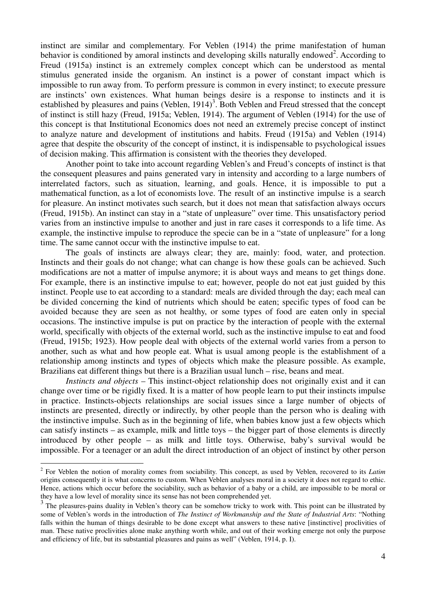instinct are similar and complementary. For Veblen (1914) the prime manifestation of human behavior is conditioned by amoral instincts and developing skills naturally endowed<sup>2</sup>. According to Freud (1915a) instinct is an extremely complex concept which can be understood as mental stimulus generated inside the organism. An instinct is a power of constant impact which is impossible to run away from. To perform pressure is common in every instinct; to execute pressure are instincts' own existences. What human beings desire is a response to instincts and it is established by pleasures and pains (Veblen,  $1914$ )<sup>3</sup>. Both Veblen and Freud stressed that the concept of instinct is still hazy (Freud, 1915a; Veblen, 1914). The argument of Veblen (1914) for the use of this concept is that Institutional Economics does not need an extremely precise concept of instinct to analyze nature and development of institutions and habits. Freud (1915a) and Veblen (1914) agree that despite the obscurity of the concept of instinct, it is indispensable to psychological issues of decision making. This affirmation is consistent with the theories they developed.

Another point to take into account regarding Veblen's and Freud's concepts of instinct is that the consequent pleasures and pains generated vary in intensity and according to a large numbers of interrelated factors, such as situation, learning, and goals. Hence, it is impossible to put a mathematical function, as a lot of economists love. The result of an instinctive impulse is a search for pleasure. An instinct motivates such search, but it does not mean that satisfaction always occurs (Freud, 1915b). An instinct can stay in a "state of unpleasure" over time. This unsatisfactory period varies from an instinctive impulse to another and just in rare cases it corresponds to a life time. As example, the instinctive impulse to reproduce the specie can be in a "state of unpleasure" for a long time. The same cannot occur with the instinctive impulse to eat.

The goals of instincts are always clear; they are, mainly: food, water, and protection. Instincts and their goals do not change; what can change is how these goals can be achieved. Such modifications are not a matter of impulse anymore; it is about ways and means to get things done. For example, there is an instinctive impulse to eat; however, people do not eat just guided by this instinct. People use to eat according to a standard: meals are divided through the day; each meal can be divided concerning the kind of nutrients which should be eaten; specific types of food can be avoided because they are seen as not healthy, or some types of food are eaten only in special occasions. The instinctive impulse is put on practice by the interaction of people with the external world, specifically with objects of the external world, such as the instinctive impulse to eat and food (Freud, 1915b; 1923). How people deal with objects of the external world varies from a person to another, such as what and how people eat. What is usual among people is the establishment of a relationship among instincts and types of objects which make the pleasure possible. As example, Brazilians eat different things but there is a Brazilian usual lunch – rise, beans and meat.

*Instincts and objects* – This instinct-object relationship does not originally exist and it can change over time or be rigidly fixed. It is a matter of how people learn to put their instincts impulse in practice. Instincts-objects relationships are social issues since a large number of objects of instincts are presented, directly or indirectly, by other people than the person who is dealing with the instinctive impulse. Such as in the beginning of life, when babies know just a few objects which can satisfy instincts – as example, milk and little toys – the bigger part of those elements is directly introduced by other people – as milk and little toys. Otherwise, baby's survival would be impossible. For a teenager or an adult the direct introduction of an object of instinct by other person

<sup>2</sup> For Veblen the notion of morality comes from sociability. This concept, as used by Veblen, recovered to its *Latim* origins consequently it is what concerns to custom. When Veblen analyses moral in a society it does not regard to ethic. Hence, actions which occur before the sociability, such as behavior of a baby or a child, are impossible to be moral or they have a low level of morality since its sense has not been comprehended yet.

 $3$  The pleasures-pains duality in Veblen's theory can be somehow tricky to work with. This point can be illustrated by some of Veblen's words in the introduction of *The Instinct of Workmanship and the State of Industrial Arts*: "Nothing falls within the human of things desirable to be done except what answers to these native [instinctive] proclivities of man. These native proclivities alone make anything worth while, and out of their working emerge not only the purpose and efficiency of life, but its substantial pleasures and pains as well" (Veblen, 1914, p. I).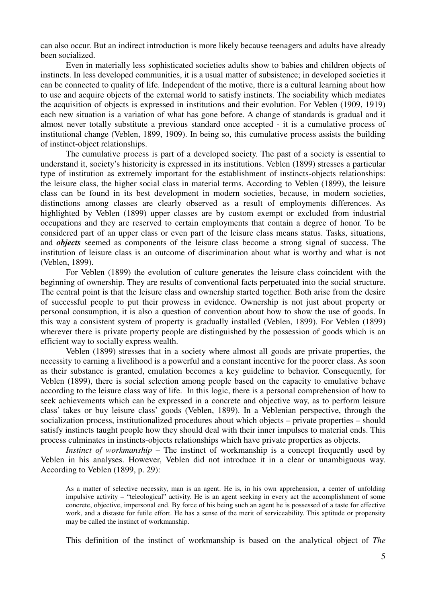can also occur. But an indirect introduction is more likely because teenagers and adults have already been socialized.

Even in materially less sophisticated societies adults show to babies and children objects of instincts. In less developed communities, it is a usual matter of subsistence; in developed societies it can be connected to quality of life. Independent of the motive, there is a cultural learning about how to use and acquire objects of the external world to satisfy instincts. The sociability which mediates the acquisition of objects is expressed in institutions and their evolution. For Veblen (1909, 1919) each new situation is a variation of what has gone before. A change of standards is gradual and it almost never totally substitute a previous standard once accepted - it is a cumulative process of institutional change (Veblen, 1899, 1909). In being so, this cumulative process assists the building of instinct-object relationships.

The cumulative process is part of a developed society. The past of a society is essential to understand it, society's historicity is expressed in its institutions. Veblen (1899) stresses a particular type of institution as extremely important for the establishment of instincts-objects relationships: the leisure class, the higher social class in material terms. According to Veblen (1899), the leisure class can be found in its best development in modern societies, because, in modern societies, distinctions among classes are clearly observed as a result of employments differences. As highlighted by Veblen (1899) upper classes are by custom exempt or excluded from industrial occupations and they are reserved to certain employments that contain a degree of honor. To be considered part of an upper class or even part of the leisure class means status. Tasks, situations, and *objects* seemed as components of the leisure class become a strong signal of success. The institution of leisure class is an outcome of discrimination about what is worthy and what is not (Veblen, 1899).

For Veblen (1899) the evolution of culture generates the leisure class coincident with the beginning of ownership. They are results of conventional facts perpetuated into the social structure. The central point is that the leisure class and ownership started together. Both arise from the desire of successful people to put their prowess in evidence. Ownership is not just about property or personal consumption, it is also a question of convention about how to show the use of goods. In this way a consistent system of property is gradually installed (Veblen, 1899). For Veblen (1899) wherever there is private property people are distinguished by the possession of goods which is an efficient way to socially express wealth.

Veblen (1899) stresses that in a society where almost all goods are private properties, the necessity to earning a livelihood is a powerful and a constant incentive for the poorer class. As soon as their substance is granted, emulation becomes a key guideline to behavior. Consequently, for Veblen (1899), there is social selection among people based on the capacity to emulative behave according to the leisure class way of life. In this logic, there is a personal comprehension of how to seek achievements which can be expressed in a concrete and objective way, as to perform leisure class' takes or buy leisure class' goods (Veblen, 1899). In a Veblenian perspective, through the socialization process, institutionalized procedures about which objects – private properties – should satisfy instincts taught people how they should deal with their inner impulses to material ends. This process culminates in instincts-objects relationships which have private properties as objects.

*Instinct of workmanship* – The instinct of workmanship is a concept frequently used by Veblen in his analyses. However, Veblen did not introduce it in a clear or unambiguous way. According to Veblen (1899, p. 29):

As a matter of selective necessity, man is an agent. He is, in his own apprehension, a center of unfolding impulsive activity – "teleological" activity. He is an agent seeking in every act the accomplishment of some concrete, objective, impersonal end. By force of his being such an agent he is possessed of a taste for effective work, and a distaste for futile effort. He has a sense of the merit of serviceability. This aptitude or propensity may be called the instinct of workmanship.

This definition of the instinct of workmanship is based on the analytical object of *The*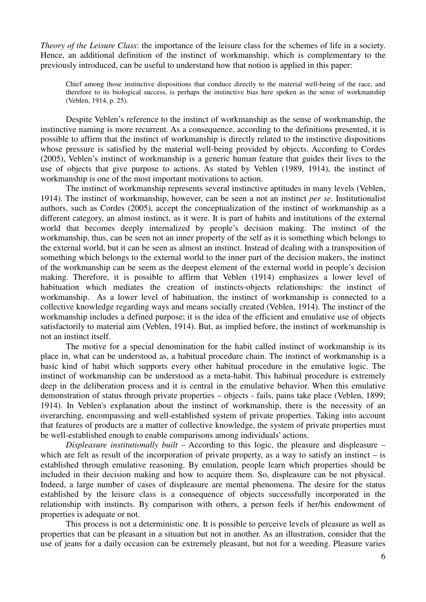*Theory of the Leisure Class*: the importance of the leisure class for the schemes of life in a society. Hence, an additional definition of the instinct of workmanship, which is complementary to the previously introduced, can be useful to understand how that notion is applied in this paper:

Chief among those instinctive dispositions that conduce directly to the material well-being of the race, and therefore to its biological success, is perhaps the instinctive bias here spoken as the sense of workmanship (Veblen, 1914, p. 25).

Despite Veblen's reference to the instinct of workmanship as the sense of workmanship, the instinctive naming is more recurrent. As a consequence, according to the definitions presented, it is possible to affirm that the instinct of workmanship is directly related to the instinctive dispositions whose pressure is satisfied by the material well-being provided by objects. According to Cordes (2005), Veblen's instinct of workmanship is a generic human feature that guides their lives to the use of objects that give purpose to actions. As stated by Veblen (1989, 1914), the instinct of workmanship is one of the most important motivations to action.

The instinct of workmanship represents several instinctive aptitudes in many levels (Veblen, 1914). The instinct of workmanship, however, can be seen a not an instinct *per se*. Institutionalist authors, such as Cordes (2005), accept the conceptualization of the instinct of workmanship as a different category, an almost instinct, as it were. It is part of habits and institutions of the external world that becomes deeply internalized by people's decision making. The instinct of the workmanship, thus, can be seen not an inner property of the self as it is something which belongs to the external world, but it can be seen as almost an instinct. Instead of dealing with a transposition of something which belongs to the external world to the inner part of the decision makers, the instinct of the workmanship can be seem as the deepest element of the external world in people's decision making. Therefore, it is possible to affirm that Veblen (1914) emphasizes a lower level of habituation which mediates the creation of instincts-objects relationships: the instinct of workmanship. As a lower level of habituation, the instinct of workmanship is connected to a collective knowledge regarding ways and means socially created (Veblen, 1914). The instinct of the workmanship includes a defined purpose; it is the idea of the efficient and emulative use of objects satisfactorily to material aim (Veblen, 1914). But, as implied before, the instinct of workmanship is not an instinct itself.

The motive for a special denomination for the habit called instinct of workmanship is its place in, what can be understood as, a habitual procedure chain. The instinct of workmanship is a basic kind of habit which supports every other habitual procedure in the emulative logic. The instinct of workmanship can be understood as a meta-habit. This habitual procedure is extremely deep in the deliberation process and it is central in the emulative behavior. When this emulative demonstration of status through private properties – objects - fails, pains take place (Veblen, 1899; 1914). In Veblen's explanation about the instinct of workmanship, there is the necessity of an overarching, encompassing and well-established system of private properties. Taking into account that features of products are a matter of collective knowledge, the system of private properties must be well-established enough to enable comparisons among individuals' actions.

*Displeasure institutionally built* – According to this logic, the pleasure and displeasure – which are felt as result of the incorporation of private property, as a way to satisfy an instinct  $-$  is established through emulative reasoning. By emulation, people learn which properties should be included in their decision making and how to acquire them. So, displeasure can be not physical. Indeed, a large number of cases of displeasure are mental phenomena. The desire for the status established by the leisure class is a consequence of objects successfully incorporated in the relationship with instincts. By comparison with others, a person feels if her/his endowment of properties is adequate or not.

This process is not a deterministic one. It is possible to perceive levels of pleasure as well as properties that can be pleasant in a situation but not in another. As an illustration, consider that the use of jeans for a daily occasion can be extremely pleasant, but not for a weeding. Pleasure varies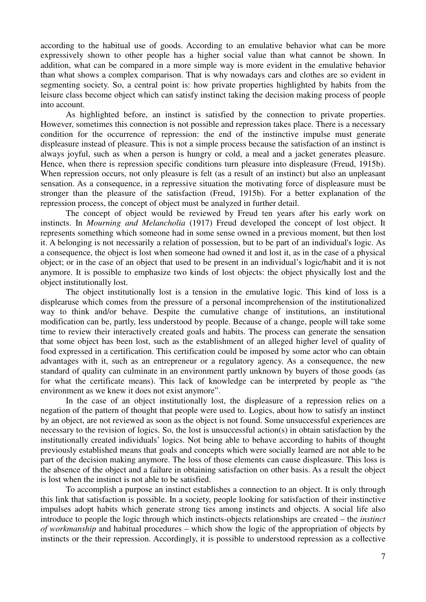according to the habitual use of goods. According to an emulative behavior what can be more expressively shown to other people has a higher social value than what cannot be shown. In addition, what can be compared in a more simple way is more evident in the emulative behavior than what shows a complex comparison. That is why nowadays cars and clothes are so evident in segmenting society. So, a central point is: how private properties highlighted by habits from the leisure class become object which can satisfy instinct taking the decision making process of people into account.

As highlighted before, an instinct is satisfied by the connection to private properties. However, sometimes this connection is not possible and repression takes place. There is a necessary condition for the occurrence of repression: the end of the instinctive impulse must generate displeasure instead of pleasure. This is not a simple process because the satisfaction of an instinct is always joyful, such as when a person is hungry or cold, a meal and a jacket generates pleasure. Hence, when there is repression specific conditions turn pleasure into displeasure (Freud, 1915b). When repression occurs, not only pleasure is felt (as a result of an instinct) but also an unpleasant sensation. As a consequence, in a repressive situation the motivating force of displeasure must be stronger than the pleasure of the satisfaction (Freud, 1915b). For a better explanation of the repression process, the concept of object must be analyzed in further detail.

The concept of object would be reviewed by Freud ten years after his early work on instincts. In *Mourning and Melancholia* (1917) Freud developed the concept of lost object. It represents something which someone had in some sense owned in a previous moment, but then lost it. A belonging is not necessarily a relation of possession, but to be part of an individual's logic. As a consequence, the object is lost when someone had owned it and lost it, as in the case of a physical object; or in the case of an object that used to be present in an individual's logic/habit and it is not anymore. It is possible to emphasize two kinds of lost objects: the object physically lost and the object institutionally lost.

The object institutionally lost is a tension in the emulative logic. This kind of loss is a displearuse which comes from the pressure of a personal incomprehension of the institutionalized way to think and/or behave. Despite the cumulative change of institutions, an institutional modification can be, partly, less understood by people. Because of a change, people will take some time to review their interactively created goals and habits. The process can generate the sensation that some object has been lost, such as the establishment of an alleged higher level of quality of food expressed in a certification. This certification could be imposed by some actor who can obtain advantages with it, such as an entrepreneur or a regulatory agency. As a consequence, the new standard of quality can culminate in an environment partly unknown by buyers of those goods (as for what the certificate means). This lack of knowledge can be interpreted by people as "the environment as we knew it does not exist anymore".

In the case of an object institutionally lost, the displeasure of a repression relies on a negation of the pattern of thought that people were used to. Logics, about how to satisfy an instinct by an object, are not reviewed as soon as the object is not found. Some unsuccessful experiences are necessary to the revision of logics. So, the lost is unsuccessful action(s) in obtain satisfaction by the institutionally created individuals' logics. Not being able to behave according to habits of thought previously established means that goals and concepts which were socially learned are not able to be part of the decision making anymore. The loss of those elements can cause displeasure. This loss is the absence of the object and a failure in obtaining satisfaction on other basis. As a result the object is lost when the instinct is not able to be satisfied.

To accomplish a purpose an instinct establishes a connection to an object. It is only through this link that satisfaction is possible. In a society, people looking for satisfaction of their instinctive impulses adopt habits which generate strong ties among instincts and objects. A social life also introduce to people the logic through which instincts-objects relationships are created – the *instinct of workmanship* and habitual procedures – which show the logic of the appropriation of objects by instincts or the their repression. Accordingly, it is possible to understood repression as a collective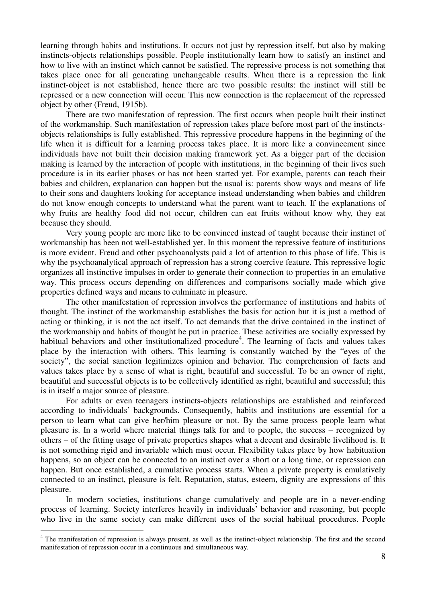learning through habits and institutions. It occurs not just by repression itself, but also by making instincts-objects relationships possible. People institutionally learn how to satisfy an instinct and how to live with an instinct which cannot be satisfied. The repressive process is not something that takes place once for all generating unchangeable results. When there is a repression the link instinct-object is not established, hence there are two possible results: the instinct will still be repressed or a new connection will occur. This new connection is the replacement of the repressed object by other (Freud, 1915b).

There are two manifestation of repression. The first occurs when people built their instinct of the workmanship. Such manifestation of repression takes place before most part of the instinctsobjects relationships is fully established. This repressive procedure happens in the beginning of the life when it is difficult for a learning process takes place. It is more like a convincement since individuals have not built their decision making framework yet. As a bigger part of the decision making is learned by the interaction of people with institutions, in the beginning of their lives such procedure is in its earlier phases or has not been started yet. For example, parents can teach their babies and children, explanation can happen but the usual is: parents show ways and means of life to their sons and daughters looking for acceptance instead understanding when babies and children do not know enough concepts to understand what the parent want to teach. If the explanations of why fruits are healthy food did not occur, children can eat fruits without know why, they eat because they should.

Very young people are more like to be convinced instead of taught because their instinct of workmanship has been not well-established yet. In this moment the repressive feature of institutions is more evident. Freud and other psychoanalysts paid a lot of attention to this phase of life. This is why the psychoanalytical approach of repression has a strong coercive feature. This repressive logic organizes all instinctive impulses in order to generate their connection to properties in an emulative way. This process occurs depending on differences and comparisons socially made which give properties defined ways and means to culminate in pleasure.

The other manifestation of repression involves the performance of institutions and habits of thought. The instinct of the workmanship establishes the basis for action but it is just a method of acting or thinking, it is not the act itself. To act demands that the drive contained in the instinct of the workmanship and habits of thought be put in practice. These activities are socially expressed by habitual behaviors and other institutionalized procedure<sup>4</sup>. The learning of facts and values takes place by the interaction with others. This learning is constantly watched by the "eyes of the society", the social sanction legitimizes opinion and behavior. The comprehension of facts and values takes place by a sense of what is right, beautiful and successful. To be an owner of right, beautiful and successful objects is to be collectively identified as right, beautiful and successful; this is in itself a major source of pleasure.

For adults or even teenagers instincts-objects relationships are established and reinforced according to individuals' backgrounds. Consequently, habits and institutions are essential for a person to learn what can give her/him pleasure or not. By the same process people learn what pleasure is. In a world where material things talk for and to people, the success – recognized by others – of the fitting usage of private properties shapes what a decent and desirable livelihood is. It is not something rigid and invariable which must occur. Flexibility takes place by how habituation happens, so an object can be connected to an instinct over a short or a long time, or repression can happen. But once established, a cumulative process starts. When a private property is emulatively connected to an instinct, pleasure is felt. Reputation, status, esteem, dignity are expressions of this pleasure.

In modern societies, institutions change cumulatively and people are in a never-ending process of learning. Society interferes heavily in individuals' behavior and reasoning, but people who live in the same society can make different uses of the social habitual procedures. People

<sup>&</sup>lt;sup>4</sup> The manifestation of repression is always present, as well as the instinct-object relationship. The first and the second manifestation of repression occur in a continuous and simultaneous way.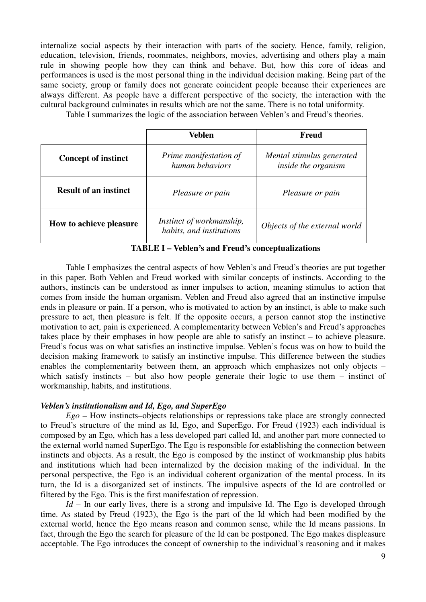internalize social aspects by their interaction with parts of the society. Hence, family, religion, education, television, friends, roommates, neighbors, movies, advertising and others play a main rule in showing people how they can think and behave. But, how this core of ideas and performances is used is the most personal thing in the individual decision making. Being part of the same society, group or family does not generate coincident people because their experiences are always different. As people have a different perspective of the society, the interaction with the cultural background culminates in results which are not the same. There is no total uniformity.

Table I summarizes the logic of the association between Veblen's and Freud's theories.

|                              | Veblen                                               | <b>Freud</b>                                     |
|------------------------------|------------------------------------------------------|--------------------------------------------------|
| <b>Concept of instinct</b>   | Prime manifestation of<br>human behaviors            | Mental stimulus generated<br>inside the organism |
| <b>Result of an instinct</b> | Pleasure or pain                                     | Pleasure or pain                                 |
| How to achieve pleasure      | Instinct of workmanship,<br>habits, and institutions | Objects of the external world                    |

**TABLE I – Veblen's and Freud's conceptualizations** 

Table I emphasizes the central aspects of how Veblen's and Freud's theories are put together in this paper. Both Veblen and Freud worked with similar concepts of instincts. According to the authors, instincts can be understood as inner impulses to action, meaning stimulus to action that comes from inside the human organism. Veblen and Freud also agreed that an instinctive impulse ends in pleasure or pain. If a person, who is motivated to action by an instinct, is able to make such pressure to act, then pleasure is felt. If the opposite occurs, a person cannot stop the instinctive motivation to act, pain is experienced. A complementarity between Veblen's and Freud's approaches takes place by their emphases in how people are able to satisfy an instinct – to achieve pleasure. Freud's focus was on what satisfies an instinctive impulse. Veblen's focus was on how to build the decision making framework to satisfy an instinctive impulse. This difference between the studies enables the complementarity between them, an approach which emphasizes not only objects – which satisfy instincts – but also how people generate their logic to use them – instinct of workmanship, habits, and institutions.

# *Veblen's institutionalism and Id, Ego, and SuperEgo*

*Ego* – How instincts–objects relationships or repressions take place are strongly connected to Freud's structure of the mind as Id, Ego, and SuperEgo. For Freud (1923) each individual is composed by an Ego, which has a less developed part called Id, and another part more connected to the external world named SuperEgo. The Ego is responsible for establishing the connection between instincts and objects. As a result, the Ego is composed by the instinct of workmanship plus habits and institutions which had been internalized by the decision making of the individual. In the personal perspective, the Ego is an individual coherent organization of the mental process. In its turn, the Id is a disorganized set of instincts. The impulsive aspects of the Id are controlled or filtered by the Ego. This is the first manifestation of repression.

*Id* – In our early lives, there is a strong and impulsive Id. The Ego is developed through time. As stated by Freud (1923), the Ego is the part of the Id which had been modified by the external world, hence the Ego means reason and common sense, while the Id means passions. In fact, through the Ego the search for pleasure of the Id can be postponed. The Ego makes displeasure acceptable. The Ego introduces the concept of ownership to the individual's reasoning and it makes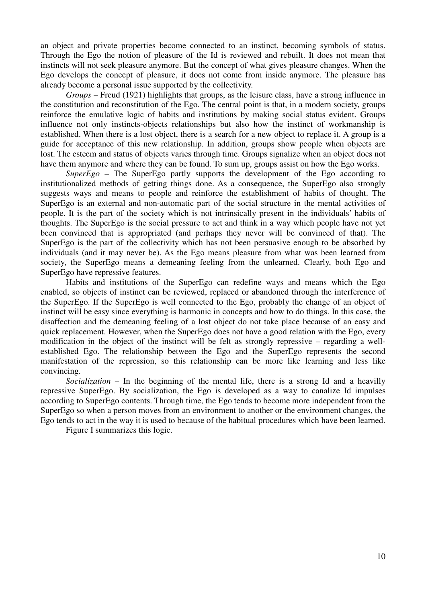an object and private properties become connected to an instinct, becoming symbols of status. Through the Ego the notion of pleasure of the Id is reviewed and rebuilt. It does not mean that instincts will not seek pleasure anymore. But the concept of what gives pleasure changes. When the Ego develops the concept of pleasure, it does not come from inside anymore. The pleasure has already become a personal issue supported by the collectivity.

*Groups* – Freud (1921) highlights that groups, as the leisure class, have a strong influence in the constitution and reconstitution of the Ego. The central point is that, in a modern society, groups reinforce the emulative logic of habits and institutions by making social status evident. Groups influence not only instincts-objects relationships but also how the instinct of workmanship is established. When there is a lost object, there is a search for a new object to replace it. A group is a guide for acceptance of this new relationship. In addition, groups show people when objects are lost. The esteem and status of objects varies through time. Groups signalize when an object does not have them anymore and where they can be found. To sum up, groups assist on how the Ego works.

*SuperEgo* – The SuperEgo partly supports the development of the Ego according to institutionalized methods of getting things done. As a consequence, the SuperEgo also strongly suggests ways and means to people and reinforce the establishment of habits of thought. The SuperEgo is an external and non-automatic part of the social structure in the mental activities of people. It is the part of the society which is not intrinsically present in the individuals' habits of thoughts. The SuperEgo is the social pressure to act and think in a way which people have not yet been convinced that is appropriated (and perhaps they never will be convinced of that). The SuperEgo is the part of the collectivity which has not been persuasive enough to be absorbed by individuals (and it may never be). As the Ego means pleasure from what was been learned from society, the SuperEgo means a demeaning feeling from the unlearned. Clearly, both Ego and SuperEgo have repressive features.

Habits and institutions of the SuperEgo can redefine ways and means which the Ego enabled, so objects of instinct can be reviewed, replaced or abandoned through the interference of the SuperEgo. If the SuperEgo is well connected to the Ego, probably the change of an object of instinct will be easy since everything is harmonic in concepts and how to do things. In this case, the disaffection and the demeaning feeling of a lost object do not take place because of an easy and quick replacement. However, when the SuperEgo does not have a good relation with the Ego, every modification in the object of the instinct will be felt as strongly repressive – regarding a wellestablished Ego. The relationship between the Ego and the SuperEgo represents the second manifestation of the repression, so this relationship can be more like learning and less like convincing.

*Socialization* – In the beginning of the mental life, there is a strong Id and a heavilly repressive SuperEgo. By socialization, the Ego is developed as a way to canalize Id impulses according to SuperEgo contents. Through time, the Ego tends to become more independent from the SuperEgo so when a person moves from an environment to another or the environment changes, the Ego tends to act in the way it is used to because of the habitual procedures which have been learned.

Figure I summarizes this logic.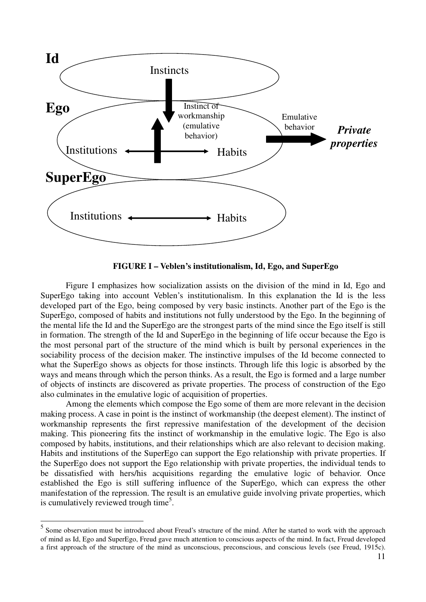

**FIGURE I – Veblen's institutionalism, Id, Ego, and SuperEgo** 

 Figure I emphasizes how socialization assists on the division of the mind in Id, Ego and SuperEgo taking into account Veblen's institutionalism. In this explanation the Id is the less developed part of the Ego, being composed by very basic instincts. Another part of the Ego is the SuperEgo, composed of habits and institutions not fully understood by the Ego. In the beginning of the mental life the Id and the SuperEgo are the strongest parts of the mind since the Ego itself is still in formation. The strength of the Id and SuperEgo in the beginning of life occur because the Ego is the most personal part of the structure of the mind which is built by personal experiences in the sociability process of the decision maker. The instinctive impulses of the Id become connected to what the SuperEgo shows as objects for those instincts. Through life this logic is absorbed by the ways and means through which the person thinks. As a result, the Ego is formed and a large number of objects of instincts are discovered as private properties. The process of construction of the Ego also culminates in the emulative logic of acquisition of properties.

 Among the elements which compose the Ego some of them are more relevant in the decision making process. A case in point is the instinct of workmanship (the deepest element). The instinct of workmanship represents the first repressive manifestation of the development of the decision making. This pioneering fits the instinct of workmanship in the emulative logic. The Ego is also composed by habits, institutions, and their relationships which are also relevant to decision making. Habits and institutions of the SuperEgo can support the Ego relationship with private properties. If the SuperEgo does not support the Ego relationship with private properties, the individual tends to be dissatisfied with hers/his acquisitions regarding the emulative logic of behavior. Once established the Ego is still suffering influence of the SuperEgo, which can express the other manifestation of the repression. The result is an emulative guide involving private properties, which is cumulatively reviewed trough time<sup>5</sup>.

l

<sup>&</sup>lt;sup>5</sup> Some observation must be introduced about Freud's structure of the mind. After he started to work with the approach of mind as Id, Ego and SuperEgo, Freud gave much attention to conscious aspects of the mind. In fact, Freud developed a first approach of the structure of the mind as unconscious, preconscious, and conscious levels (see Freud, 1915c).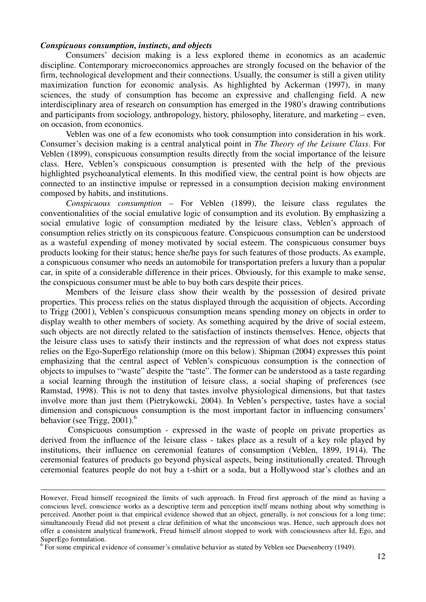## *Conspicuous consumption, instincts, and objects*

Consumers' decision making is a less explored theme in economics as an academic discipline. Contemporary microeconomics approaches are strongly focused on the behavior of the firm, technological development and their connections. Usually, the consumer is still a given utility maximization function for economic analysis. As highlighted by Ackerman (1997), in many sciences, the study of consumption has become an expressive and challenging field. A new interdisciplinary area of research on consumption has emerged in the 1980's drawing contributions and participants from sociology, anthropology, history, philosophy, literature, and marketing – even, on occasion, from economics.

Veblen was one of a few economists who took consumption into consideration in his work. Consumer's decision making is a central analytical point in *The Theory of the Leisure Class*. For Veblen (1899), conspicuous consumption results directly from the social importance of the leisure class. Here, Veblen's conspicuous consumption is presented with the help of the previous highlighted psychoanalytical elements. In this modified view, the central point is how objects are connected to an instinctive impulse or repressed in a consumption decision making environment composed by habits, and institutions.

*Conspicuous consumption* – For Veblen (1899), the leisure class regulates the conventionalities of the social emulative logic of consumption and its evolution. By emphasizing a social emulative logic of consumption mediated by the leisure class, Veblen's approach of consumption relies strictly on its conspicuous feature. Conspicuous consumption can be understood as a wasteful expending of money motivated by social esteem. The conspicuous consumer buys products looking for their status; hence she/he pays for such features of those products. As example, a conspicuous consumer who needs an automobile for transportation prefers a luxury than a popular car, in spite of a considerable difference in their prices. Obviously, for this example to make sense, the conspicuous consumer must be able to buy both cars despite their prices.

Members of the leisure class show their wealth by the possession of desired private properties. This process relies on the status displayed through the acquisition of objects. According to Trigg (2001), Veblen's conspicuous consumption means spending money on objects in order to display wealth to other members of society. As something acquired by the drive of social esteem, such objects are not directly related to the satisfaction of instincts themselves. Hence, objects that the leisure class uses to satisfy their instincts and the repression of what does not express status relies on the Ego-SuperEgo relationship (more on this below). Shipman (2004) expresses this point emphasizing that the central aspect of Veblen's conspicuous consumption is the connection of objects to impulses to "waste" despite the "taste". The former can be understood as a taste regarding a social learning through the institution of leisure class, a social shaping of preferences (see Ramstad, 1998). This is not to deny that tastes involve physiological dimensions, but that tastes involve more than just them (Pietrykowcki, 2004). In Veblen's perspective, tastes have a social dimension and conspicuous consumption is the most important factor in influencing consumers' behavior (see Trigg,  $2001$ ).<sup>6</sup>

 Conspicuous consumption - expressed in the waste of people on private properties as derived from the influence of the leisure class - takes place as a result of a key role played by institutions, their influence on ceremonial features of consumption (Veblen, 1899, 1914). The ceremonial features of products go beyond physical aspects, being institutionally created. Through ceremonial features people do not buy a t-shirt or a soda, but a Hollywood star's clothes and an

However, Freud himself recognized the limits of such approach. In Freud first approach of the mind as having a conscious level, conscience works as a descriptive term and perception itself means nothing about why something is perceived. Another point is that empirical evidence showed that an object, generally, is not conscious for a long time; simultaneously Freud did not present a clear definition of what the unconscious was. Hence, such approach does not offer a consistent analytical framework, Freud himself almost stopped to work with consciousness after Id, Ego, and SuperEgo formulation.

 $6$  For some empirical evidence of consumer's emulative behavior as stated by Veblen see Duesenberry (1949).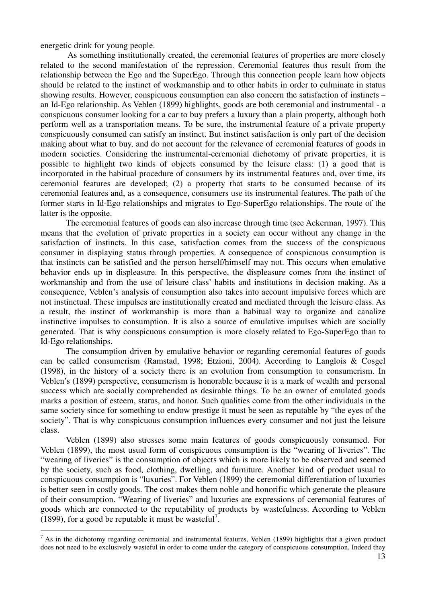energetic drink for young people.

 $\overline{a}$ 

 As something institutionally created, the ceremonial features of properties are more closely related to the second manifestation of the repression. Ceremonial features thus result from the relationship between the Ego and the SuperEgo. Through this connection people learn how objects should be related to the instinct of workmanship and to other habits in order to culminate in status showing results. However, conspicuous consumption can also concern the satisfaction of instincts – an Id-Ego relationship. As Veblen (1899) highlights, goods are both ceremonial and instrumental - a conspicuous consumer looking for a car to buy prefers a luxury than a plain property, although both perform well as a transportation means. To be sure, the instrumental feature of a private property conspicuously consumed can satisfy an instinct. But instinct satisfaction is only part of the decision making about what to buy, and do not account for the relevance of ceremonial features of goods in modern societies. Considering the instrumental-ceremonial dichotomy of private properties, it is possible to highlight two kinds of objects consumed by the leisure class: (1) a good that is incorporated in the habitual procedure of consumers by its instrumental features and, over time, its ceremonial features are developed; (2) a property that starts to be consumed because of its ceremonial features and, as a consequence, consumers use its instrumental features. The path of the former starts in Id-Ego relationships and migrates to Ego-SuperEgo relationships. The route of the latter is the opposite.

The ceremonial features of goods can also increase through time (see Ackerman, 1997). This means that the evolution of private properties in a society can occur without any change in the satisfaction of instincts. In this case, satisfaction comes from the success of the conspicuous consumer in displaying status through properties. A consequence of conspicuous consumption is that instincts can be satisfied and the person herself/himself may not. This occurs when emulative behavior ends up in displeasure. In this perspective, the displeasure comes from the instinct of workmanship and from the use of leisure class' habits and institutions in decision making. As a consequence, Veblen's analysis of consumption also takes into account impulsive forces which are not instinctual. These impulses are institutionally created and mediated through the leisure class. As a result, the instinct of workmanship is more than a habitual way to organize and canalize instinctive impulses to consumption. It is also a source of emulative impulses which are socially generated. That is why conspicuous consumption is more closely related to Ego-SuperEgo than to Id-Ego relationships.

The consumption driven by emulative behavior or regarding ceremonial features of goods can be called consumerism (Ramstad, 1998; Etzioni, 2004). According to Langlois & Cosgel (1998), in the history of a society there is an evolution from consumption to consumerism. In Veblen's (1899) perspective, consumerism is honorable because it is a mark of wealth and personal success which are socially comprehended as desirable things. To be an owner of emulated goods marks a position of esteem, status, and honor. Such qualities come from the other individuals in the same society since for something to endow prestige it must be seen as reputable by "the eyes of the society". That is why conspicuous consumption influences every consumer and not just the leisure class.

Veblen (1899) also stresses some main features of goods conspicuously consumed. For Veblen (1899), the most usual form of conspicuous consumption is the "wearing of liveries". The "wearing of liveries" is the consumption of objects which is more likely to be observed and seemed by the society, such as food, clothing, dwelling, and furniture. Another kind of product usual to conspicuous consumption is "luxuries". For Veblen (1899) the ceremonial differentiation of luxuries is better seen in costly goods. The cost makes them noble and honorific which generate the pleasure of their consumption. "Wearing of liveries" and luxuries are expressions of ceremonial features of goods which are connected to the reputability of products by wastefulness. According to Veblen (1899), for a good be reputable it must be wasteful<sup>7</sup>.

 $<sup>7</sup>$  As in the dichotomy regarding ceremonial and instrumental features, Veblen (1899) highlights that a given product</sup> does not need to be exclusively wasteful in order to come under the category of conspicuous consumption. Indeed they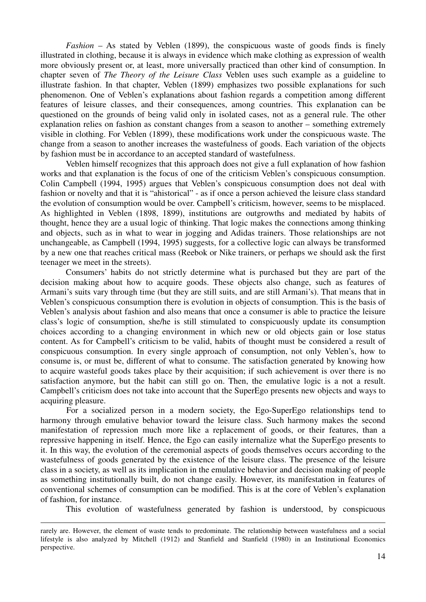*Fashion* – As stated by Veblen (1899), the conspicuous waste of goods finds is finely illustrated in clothing, because it is always in evidence which make clothing as expression of wealth more obviously present or, at least, more universally practiced than other kind of consumption. In chapter seven of *The Theory of the Leisure Class* Veblen uses such example as a guideline to illustrate fashion. In that chapter, Veblen (1899) emphasizes two possible explanations for such phenomenon. One of Veblen's explanations about fashion regards a competition among different features of leisure classes, and their consequences, among countries. This explanation can be questioned on the grounds of being valid only in isolated cases, not as a general rule. The other explanation relies on fashion as constant changes from a season to another – something extremely visible in clothing. For Veblen (1899), these modifications work under the conspicuous waste. The change from a season to another increases the wastefulness of goods. Each variation of the objects by fashion must be in accordance to an accepted standard of wastefulness.

Veblen himself recognizes that this approach does not give a full explanation of how fashion works and that explanation is the focus of one of the criticism Veblen's conspicuous consumption. Colin Campbell (1994, 1995) argues that Veblen's conspicuous consumption does not deal with fashion or novelty and that it is "ahistorical" - as if once a person achieved the leisure class standard the evolution of consumption would be over. Campbell's criticism, however, seems to be misplaced. As highlighted in Veblen (1898, 1899), institutions are outgrowths and mediated by habits of thought, hence they are a usual logic of thinking. That logic makes the connections among thinking and objects, such as in what to wear in jogging and Adidas trainers. Those relationships are not unchangeable, as Campbell (1994, 1995) suggests, for a collective logic can always be transformed by a new one that reaches critical mass (Reebok or Nike trainers, or perhaps we should ask the first teenager we meet in the streets).

Consumers' habits do not strictly determine what is purchased but they are part of the decision making about how to acquire goods. These objects also change, such as features of Armani's suits vary through time (but they are still suits, and are still Armani's). That means that in Veblen's conspicuous consumption there is evolution in objects of consumption. This is the basis of Veblen's analysis about fashion and also means that once a consumer is able to practice the leisure class's logic of consumption, she/he is still stimulated to conspicuously update its consumption choices according to a changing environment in which new or old objects gain or lose status content. As for Campbell's criticism to be valid, habits of thought must be considered a result of conspicuous consumption. In every single approach of consumption, not only Veblen's, how to consume is, or must be, different of what to consume. The satisfaction generated by knowing how to acquire wasteful goods takes place by their acquisition; if such achievement is over there is no satisfaction anymore, but the habit can still go on. Then, the emulative logic is a not a result. Campbell's criticism does not take into account that the SuperEgo presents new objects and ways to acquiring pleasure.

 For a socialized person in a modern society, the Ego-SuperEgo relationships tend to harmony through emulative behavior toward the leisure class. Such harmony makes the second manifestation of repression much more like a replacement of goods, or their features, than a repressive happening in itself. Hence, the Ego can easily internalize what the SuperEgo presents to it. In this way, the evolution of the ceremonial aspects of goods themselves occurs according to the wastefulness of goods generated by the existence of the leisure class. The presence of the leisure class in a society, as well as its implication in the emulative behavior and decision making of people as something institutionally built, do not change easily. However, its manifestation in features of conventional schemes of consumption can be modified. This is at the core of Veblen's explanation of fashion, for instance.

This evolution of wastefulness generated by fashion is understood, by conspicuous

rarely are. However, the element of waste tends to predominate. The relationship between wastefulness and a social lifestyle is also analyzed by Mitchell (1912) and Stanfield and Stanfield (1980) in an Institutional Economics perspective.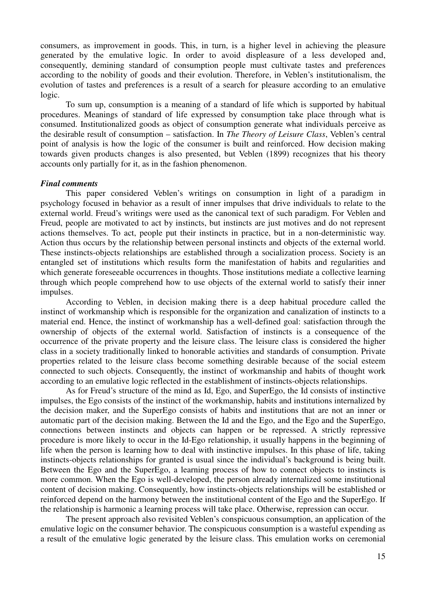consumers, as improvement in goods. This, in turn, is a higher level in achieving the pleasure generated by the emulative logic. In order to avoid displeasure of a less developed and, consequently, demining standard of consumption people must cultivate tastes and preferences according to the nobility of goods and their evolution. Therefore, in Veblen's institutionalism, the evolution of tastes and preferences is a result of a search for pleasure according to an emulative logic.

To sum up, consumption is a meaning of a standard of life which is supported by habitual procedures. Meanings of standard of life expressed by consumption take place through what is consumed. Institutionalized goods as object of consumption generate what individuals perceive as the desirable result of consumption – satisfaction. In *The Theory of Leisure Class*, Veblen's central point of analysis is how the logic of the consumer is built and reinforced. How decision making towards given products changes is also presented, but Veblen (1899) recognizes that his theory accounts only partially for it, as in the fashion phenomenon.

#### *Final comments*

This paper considered Veblen's writings on consumption in light of a paradigm in psychology focused in behavior as a result of inner impulses that drive individuals to relate to the external world. Freud's writings were used as the canonical text of such paradigm. For Veblen and Freud, people are motivated to act by instincts, but instincts are just motives and do not represent actions themselves. To act, people put their instincts in practice, but in a non-deterministic way. Action thus occurs by the relationship between personal instincts and objects of the external world. These instincts-objects relationships are established through a socialization process. Society is an entangled set of institutions which results form the manifestation of habits and regularities and which generate foreseeable occurrences in thoughts. Those institutions mediate a collective learning through which people comprehend how to use objects of the external world to satisfy their inner impulses.

 According to Veblen, in decision making there is a deep habitual procedure called the instinct of workmanship which is responsible for the organization and canalization of instincts to a material end. Hence, the instinct of workmanship has a well-defined goal: satisfaction through the ownership of objects of the external world. Satisfaction of instincts is a consequence of the occurrence of the private property and the leisure class. The leisure class is considered the higher class in a society traditionally linked to honorable activities and standards of consumption. Private properties related to the leisure class become something desirable because of the social esteem connected to such objects. Consequently, the instinct of workmanship and habits of thought work according to an emulative logic reflected in the establishment of instincts-objects relationships.

 As for Freud's structure of the mind as Id, Ego, and SuperEgo, the Id consists of instinctive impulses, the Ego consists of the instinct of the workmanship, habits and institutions internalized by the decision maker, and the SuperEgo consists of habits and institutions that are not an inner or automatic part of the decision making. Between the Id and the Ego, and the Ego and the SuperEgo, connections between instincts and objects can happen or be repressed. A strictly repressive procedure is more likely to occur in the Id-Ego relationship, it usually happens in the beginning of life when the person is learning how to deal with instinctive impulses. In this phase of life, taking instincts-objects relationships for granted is usual since the individual's background is being built. Between the Ego and the SuperEgo, a learning process of how to connect objects to instincts is more common. When the Ego is well-developed, the person already internalized some institutional content of decision making. Consequently, how instincts-objects relationships will be established or reinforced depend on the harmony between the institutional content of the Ego and the SuperEgo. If the relationship is harmonic a learning process will take place. Otherwise, repression can occur.

 The present approach also revisited Veblen's conspicuous consumption, an application of the emulative logic on the consumer behavior. The conspicuous consumption is a wasteful expending as a result of the emulative logic generated by the leisure class. This emulation works on ceremonial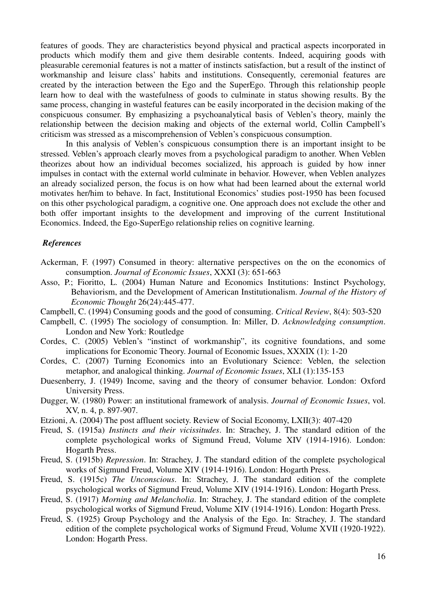features of goods. They are characteristics beyond physical and practical aspects incorporated in products which modify them and give them desirable contents. Indeed, acquiring goods with pleasurable ceremonial features is not a matter of instincts satisfaction, but a result of the instinct of workmanship and leisure class' habits and institutions. Consequently, ceremonial features are created by the interaction between the Ego and the SuperEgo. Through this relationship people learn how to deal with the wastefulness of goods to culminate in status showing results. By the same process, changing in wasteful features can be easily incorporated in the decision making of the conspicuous consumer. By emphasizing a psychoanalytical basis of Veblen's theory, mainly the relationship between the decision making and objects of the external world, Collin Campbell's criticism was stressed as a miscomprehension of Veblen's conspicuous consumption.

 In this analysis of Veblen's conspicuous consumption there is an important insight to be stressed. Veblen's approach clearly moves from a psychological paradigm to another. When Veblen theorizes about how an individual becomes socialized, his approach is guided by how inner impulses in contact with the external world culminate in behavior. However, when Veblen analyzes an already socialized person, the focus is on how what had been learned about the external world motivates her/him to behave. In fact, Institutional Economics' studies post-1950 has been focused on this other psychological paradigm, a cognitive one. One approach does not exclude the other and both offer important insights to the development and improving of the current Institutional Economics. Indeed, the Ego-SuperEgo relationship relies on cognitive learning.

## *References*

- Ackerman, F. (1997) Consumed in theory: alternative perspectives on the on the economics of consumption. *Journal of Economic Issues*, XXXI (3): 651-663
- Asso, P.; Fioritto, L. (2004) Human Nature and Economics Institutions: Instinct Psychology, Behaviorism, and the Development of American Institutionalism. *Journal of the History of Economic Thought* 26(24):445-477.
- Campbell, C. (1994) Consuming goods and the good of consuming. *Critical Review*, 8(4): 503-520
- Campbell, C. (1995) The sociology of consumption. In: Miller, D. *Acknowledging consumption*. London and New York: Routledge
- Cordes, C. (2005) Veblen's "instinct of workmanship", its cognitive foundations, and some implications for Economic Theory. Journal of Economic Issues, XXXIX (1): 1-20
- Cordes, C. (2007) Turning Economics into an Evolutionary Science: Veblen, the selection metaphor, and analogical thinking. *Journal of Economic Issues*, XLI (1):135-153
- Duesenberry, J. (1949) Income, saving and the theory of consumer behavior. London: Oxford University Press.
- Dugger, W. (1980) Power: an institutional framework of analysis. *Journal of Economic Issues*, vol. XV, n. 4, p. 897-907.
- Etzioni, A. (2004) The post affluent society. Review of Social Economy, LXII(3): 407-420
- Freud, S. (1915a) *Instincts and their vicissitudes*. In: Strachey, J. The standard edition of the complete psychological works of Sigmund Freud, Volume XIV (1914-1916). London: Hogarth Press.
- Freud, S. (1915b) *Repression*. In: Strachey, J. The standard edition of the complete psychological works of Sigmund Freud, Volume XIV (1914-1916). London: Hogarth Press.
- Freud, S. (1915c) *The Unconscious*. In: Strachey, J. The standard edition of the complete psychological works of Sigmund Freud, Volume XIV (1914-1916). London: Hogarth Press.
- Freud, S. (1917) *Morning and Melancholia*. In: Strachey, J. The standard edition of the complete psychological works of Sigmund Freud, Volume XIV (1914-1916). London: Hogarth Press.
- Freud, S. (1925) Group Psychology and the Analysis of the Ego. In: Strachey, J. The standard edition of the complete psychological works of Sigmund Freud, Volume XVII (1920-1922). London: Hogarth Press.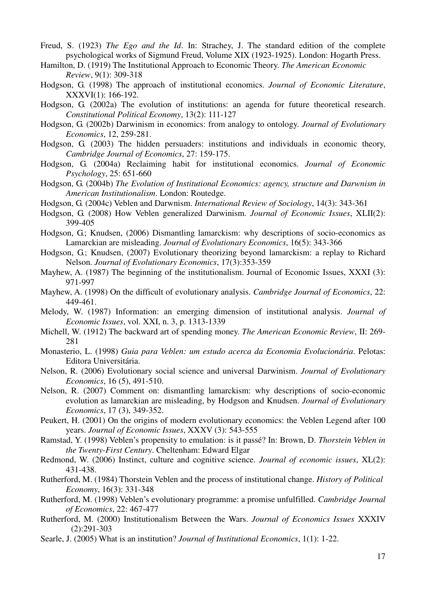- Freud, S. (1923) *The Ego and the Id*. In: Strachey, J. The standard edition of the complete psychological works of Sigmund Freud, Volume XIX (1923-1925). London: Hogarth Press.
- Hamilton, D. (1919) The Institutional Approach to Economic Theory. *The American Economic Review*, 9(1): 309-318
- Hodgson, G. (1998) The approach of institutional economics. *Journal of Economic Literature*, XXXVI(1): 166-192.
- Hodgson, G. (2002a) The evolution of institutions: an agenda for future theoretical research. *Constitutional Political Economy*, 13(2): 111-127
- Hodgson, G. (2002b) Darwinism in economics: from analogy to ontology. *Journal of Evolutionary Economics*, 12, 259-281.
- Hodgson, G. (2003) The hidden persuaders: institutions and individuals in economic theory, *Cambridge Journal of Economics*, 27: 159-175.
- Hodgson, G. (2004a) Reclaiming habit for institutional economics. *Journal of Economic Psychology*, 25: 651-660
- Hodgson, G. (2004b) *The Evolution of Institutional Economics: agency, structure and Darwnism in American Institutionalism*. London: Routedge.
- Hodgson, G. (2004c) Veblen and Darwnism. *International Review of Sociology*, 14(3): 343-361
- Hodgson, G. (2008) How Veblen generalized Darwinism. *Journal of Economic Issues*, XLII(2): 399-405
- Hodgson, G.; Knudsen, (2006) Dismantling lamarckism: why descriptions of socio-economics as Lamarckian are misleading. *Journal of Evolutionary Economics*, 16(5): 343-366
- Hodgson, G.; Knudsen, (2007) Evolutionary theorizing beyond lamarckism: a replay to Richard Nelson. *Journal of Evolutionary Economics*, 17(3):353-359
- Mayhew, A. (1987) The beginning of the institutionalism. Journal of Economic Issues, XXXI (3): 971-997
- Mayhew, A. (1998) On the difficult of evolutionary analysis. *Cambridge Journal of Economics*, 22: 449-461.
- Melody, W. (1987) Information: an emerging dimension of institutional analysis. *Journal of Economic Issues*, vol. XXI, n. 3, p. 1313-1339
- Michell, W. (1912) The backward art of spending money. *The American Economic Review*, II: 269- 281
- Monasterio, L. (1998) *Guia para Veblen: um estudo acerca da Economia Evolucionária*. Pelotas: Editora Universitária.
- Nelson, R. (2006) Evolutionary social science and universal Darwinism. *Journal of Evolutionary Economics*, 16 (5), 491-510.
- Nelson, R. (2007) Comment on: dismantling lamarckism: why descriptions of socio-economic evolution as lamarckian are misleading, by Hodgson and Knudsen. *Journal of Evolutionary Economics*, 17 (3), 349-352.
- Peukert, H. (2001) On the origins of modern evolutionary economics: the Veblen Legend after 100 years. *Journal of Economic Issues*, XXXV (3): 543-555
- Ramstad, Y. (1998) Veblen's propensity to emulation: is it passé? In: Brown, D. *Thorstein Veblen in the Twenty-First Century*. Cheltenham: Edward Elgar
- Redmond, W. (2006) Instinct, culture and cognitive science. *Journal of economic issues*, XL(2): 431-438.
- Rutherford, M. (1984) Thorstein Veblen and the process of institutional change. *History of Political Economy*, 16(3): 331-348
- Rutherford, M. (1998) Veblen's evolutionary programme: a promise unfulfilled. *Cambridge Journal of Economics*, 22: 467-477
- Rutherford, M. (2000) Institutionalism Between the Wars. *Journal of Economics Issues* XXXIV (2):291-303
- Searle, J. (2005) What is an institution? *Journal of Institutional Economics*, 1(1): 1-22.